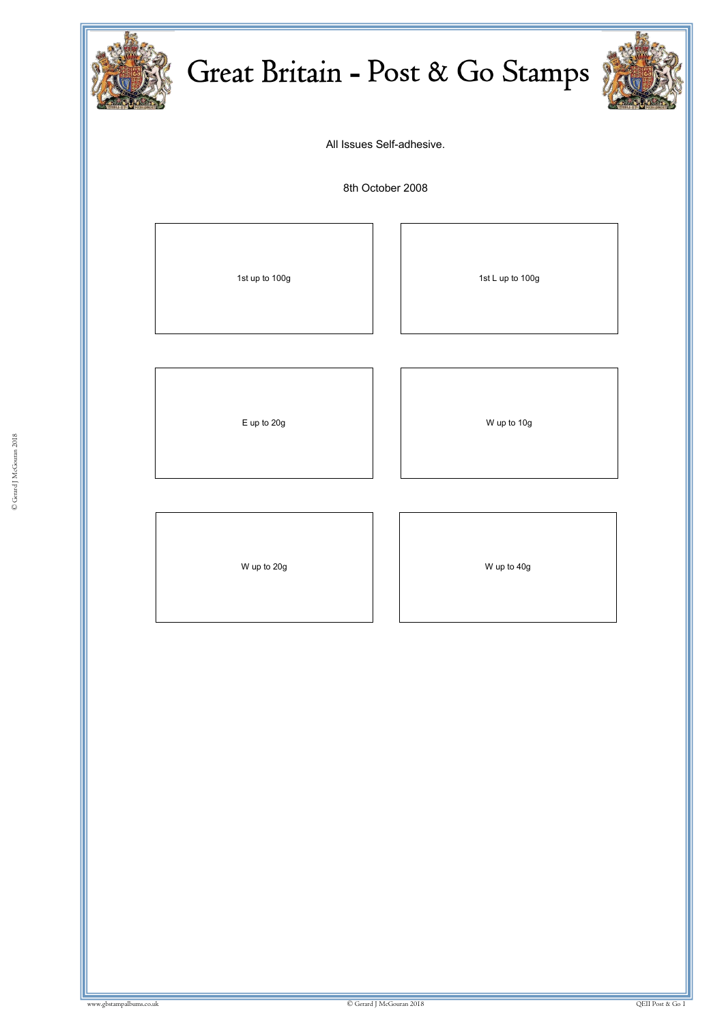

## Great Britain - Post & Go Stamps



All Issues Self-adhesive.

8th October 2008

© Gerard J McGouran 2018

ww.gbstampalbums.com

1st up to 100g 1st L up to 100g

E up to 20g and the U state of the U state of the W up to 10g

W up to 20g and the U set of the U set of the U set of the U set of the U set of the U set of the U set of the U set of the U set of the U set of the U set of the U set of the U set of the U set of the U set of the U set o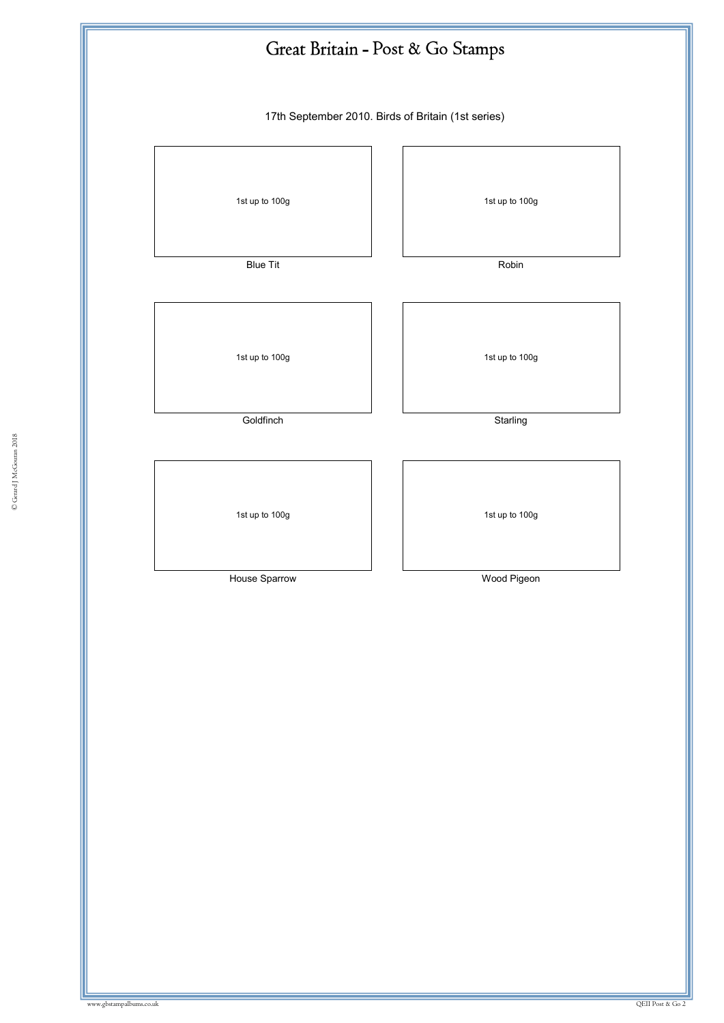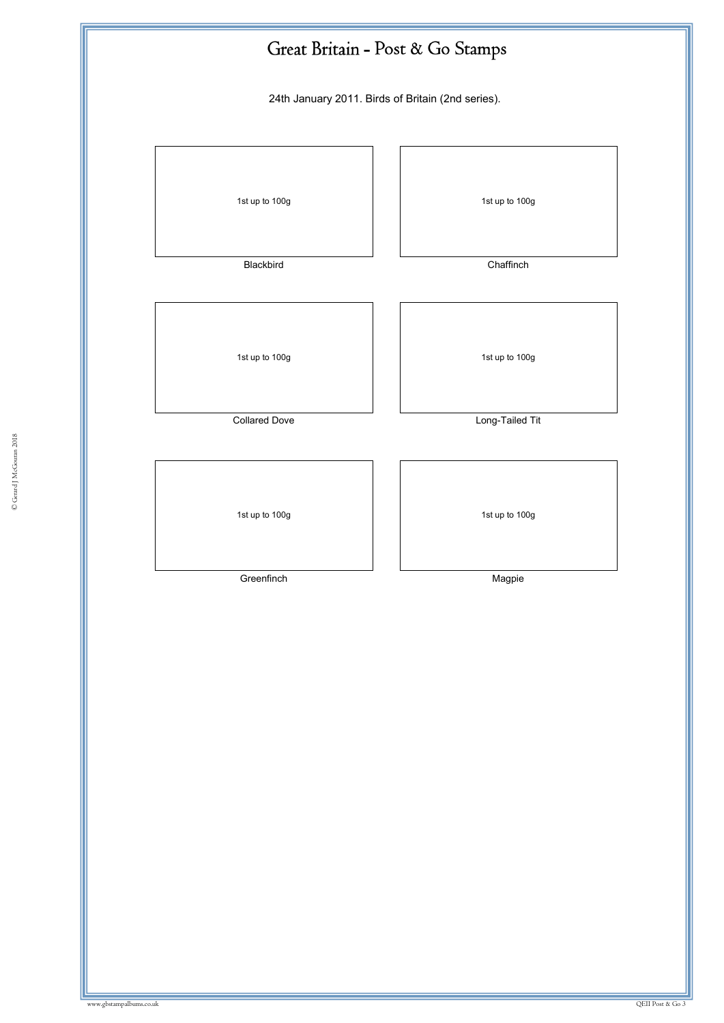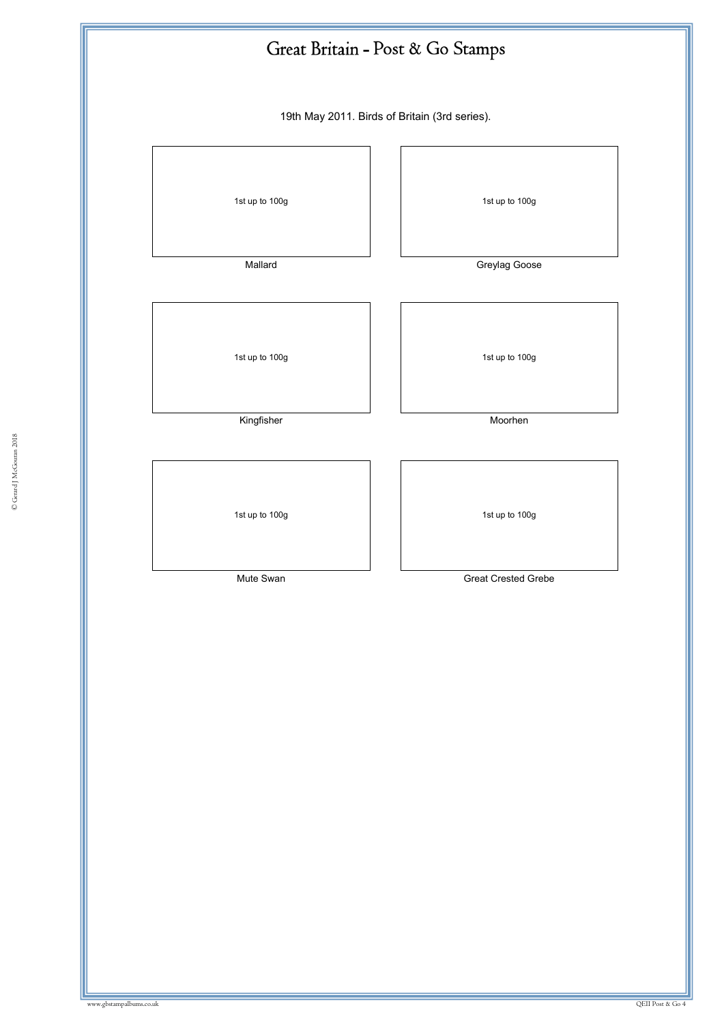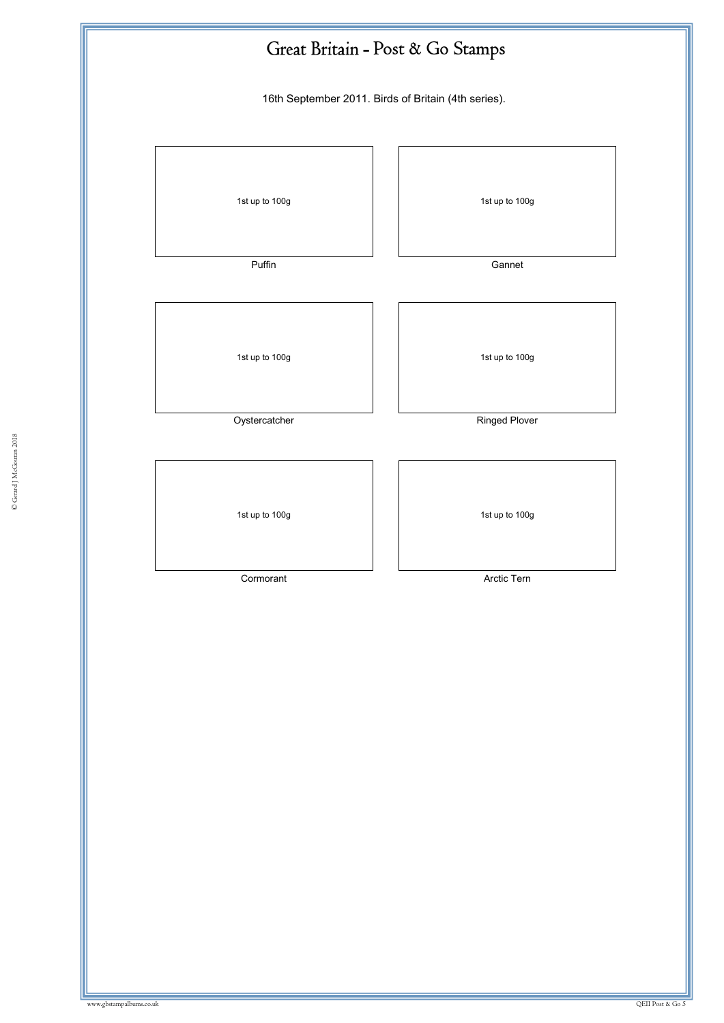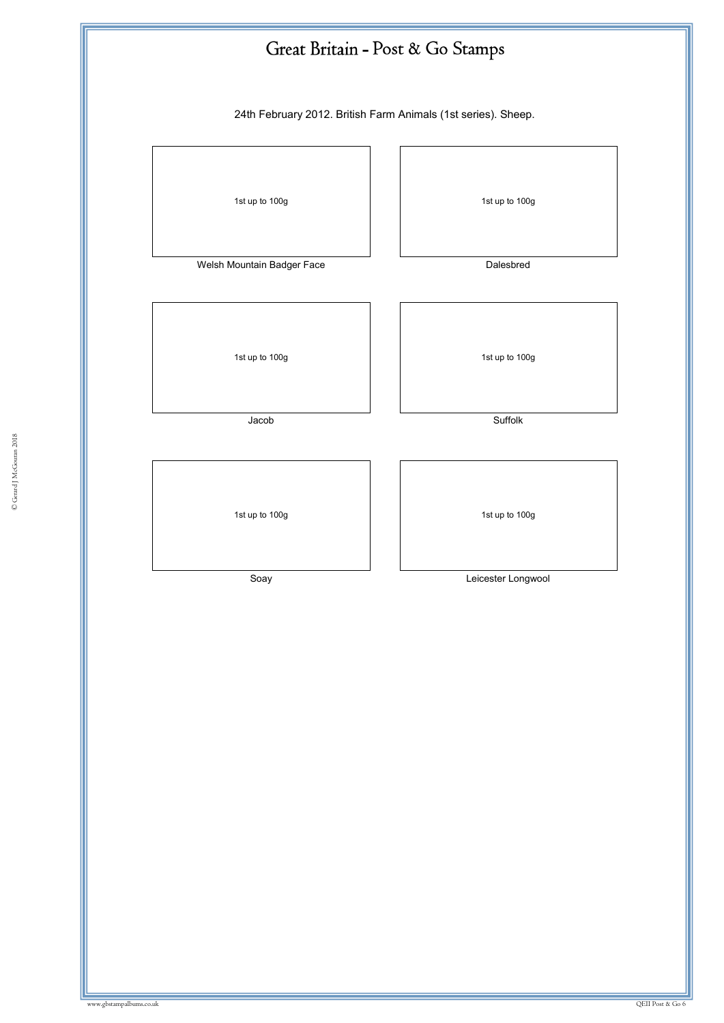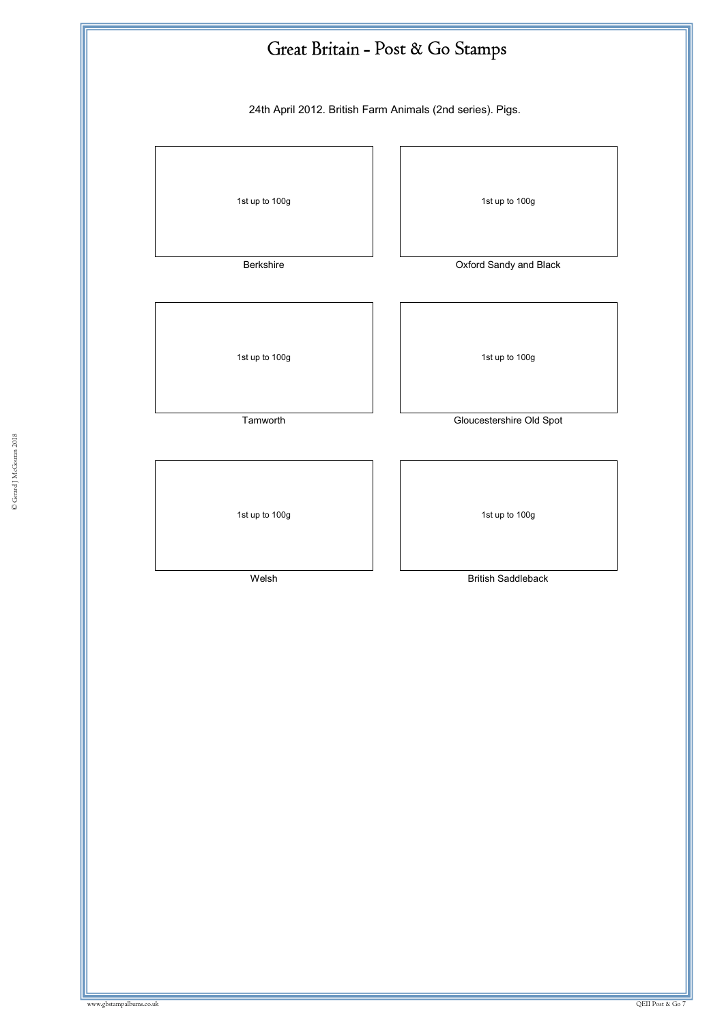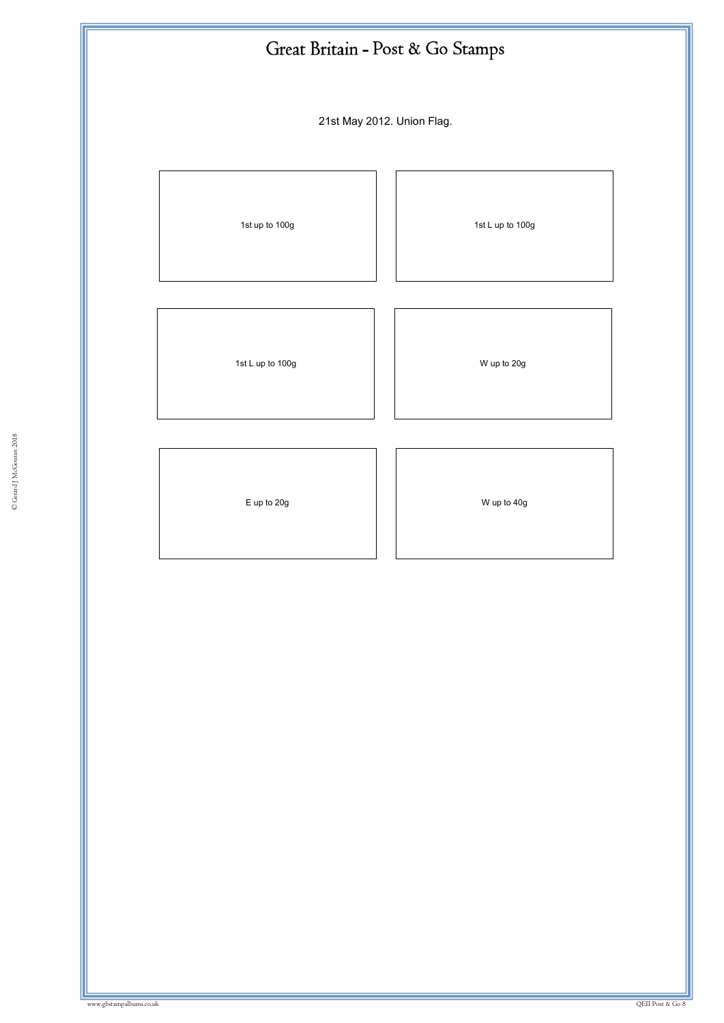| Great Britain - Post & Go Stamps |                  |
|----------------------------------|------------------|
| 21st May 2012. Union Flag.       |                  |
| 1st up to 100g                   | 1st L up to 100g |
| 1st L up to 100g                 | W up to 20g      |
| E up to 20g                      | W up to 40g      |
|                                  |                  |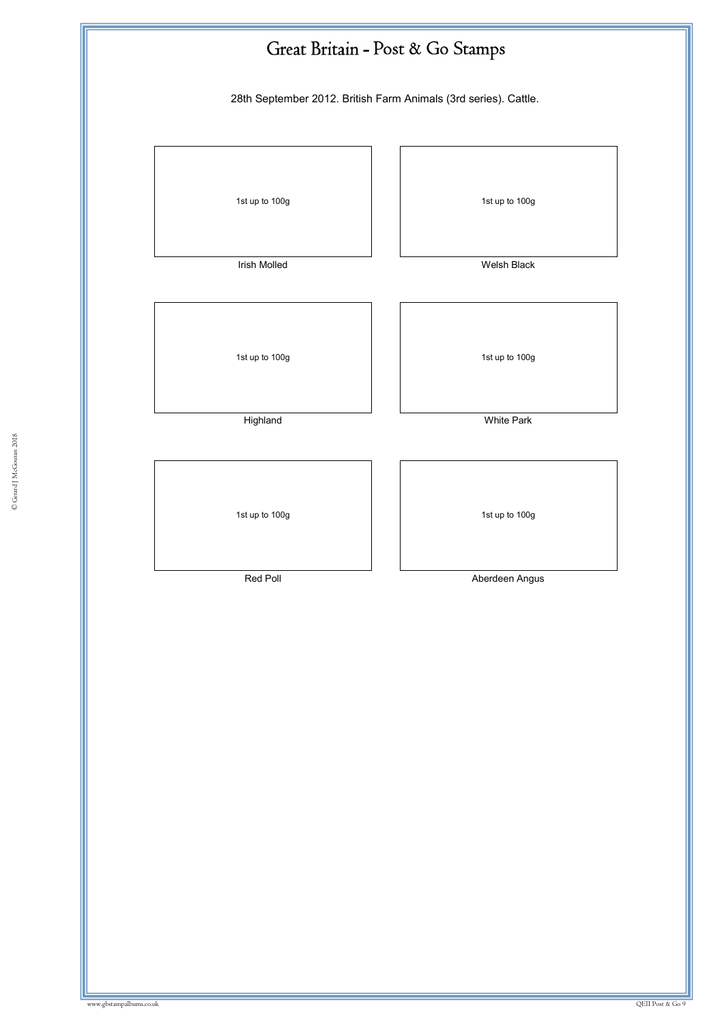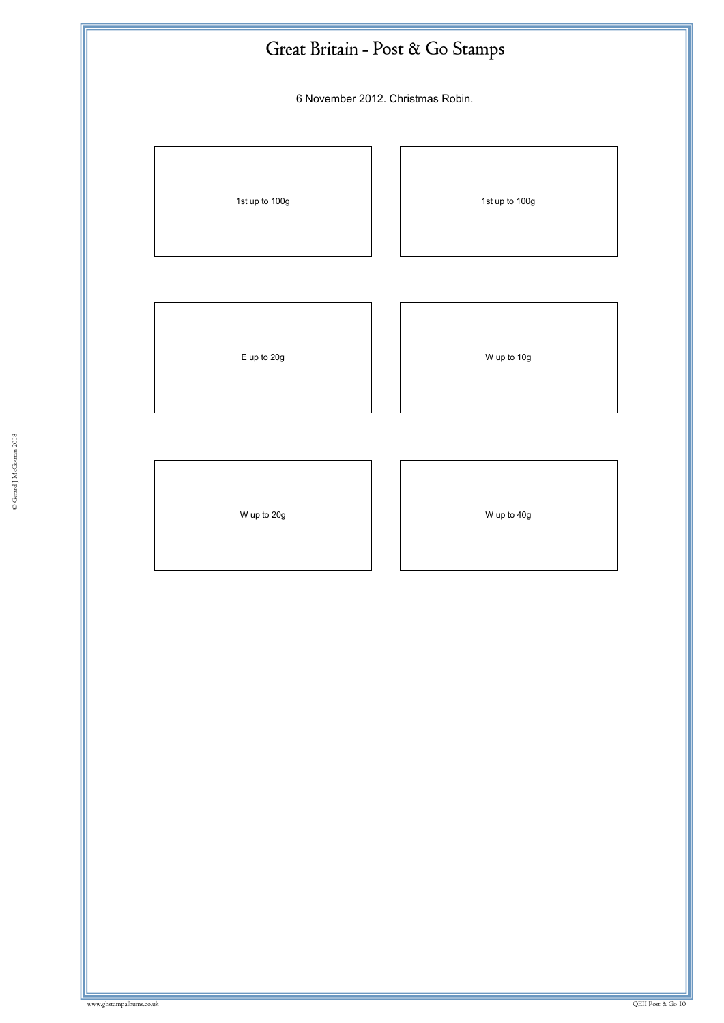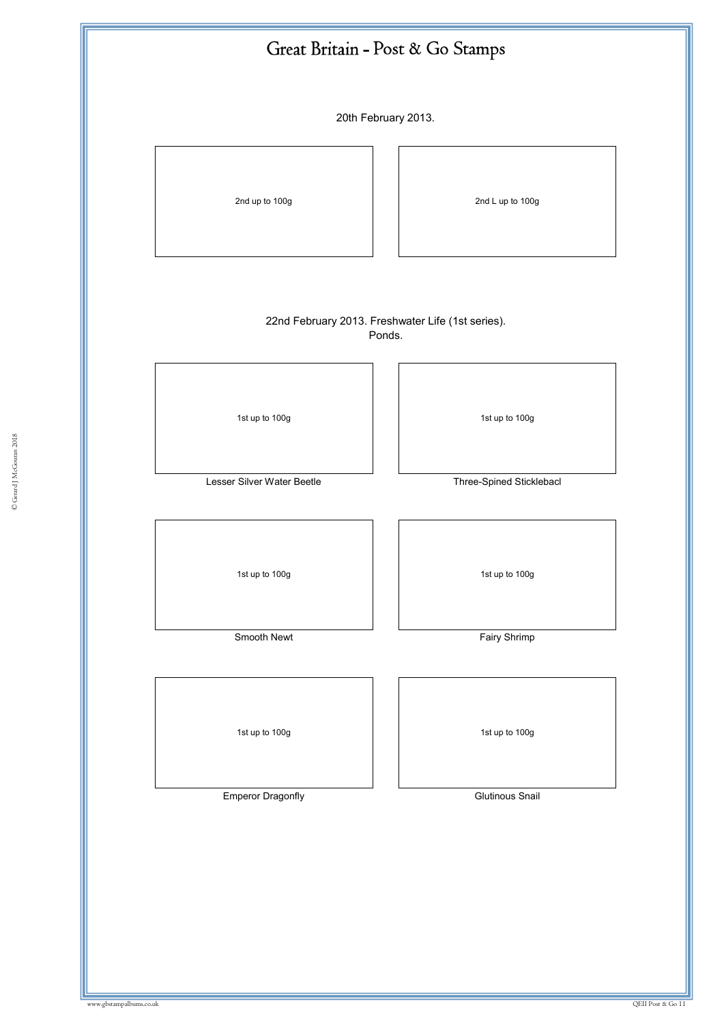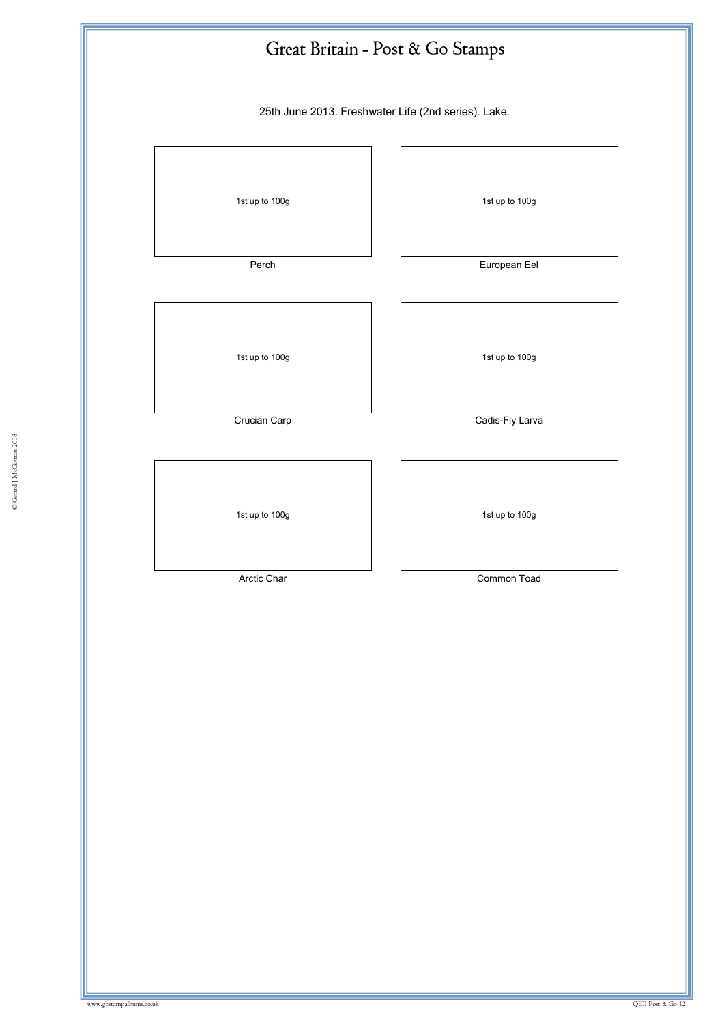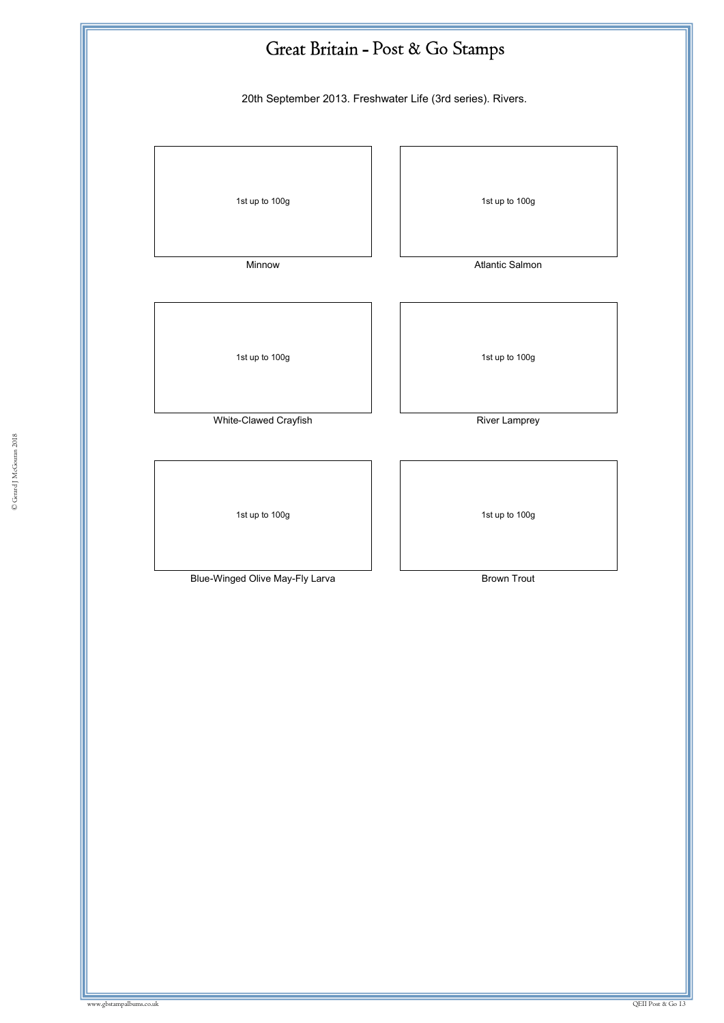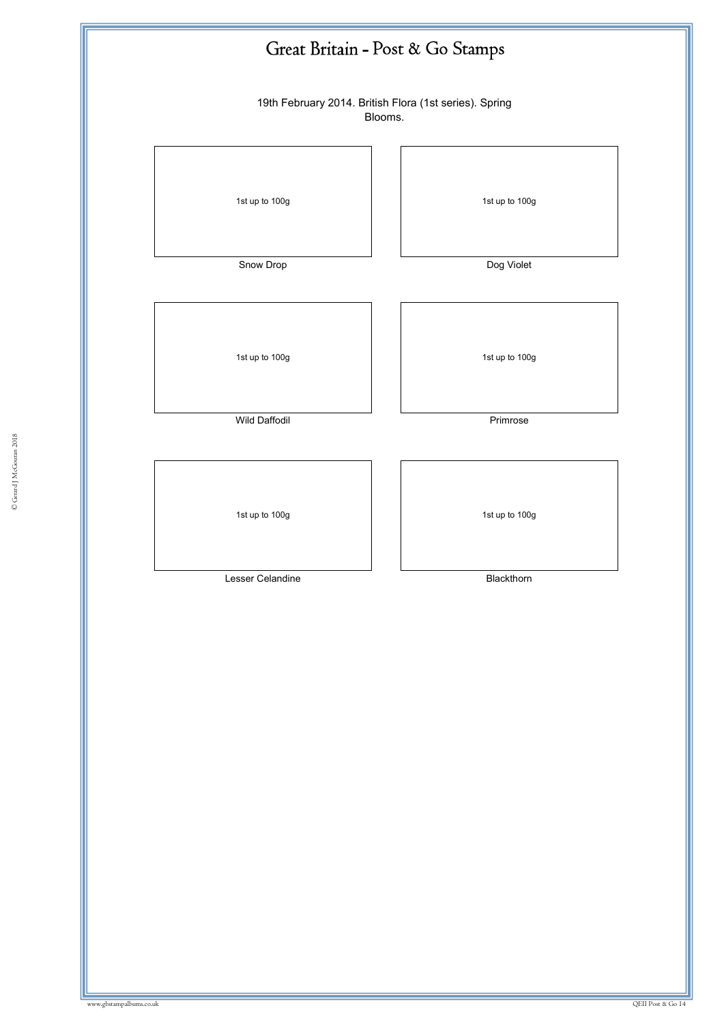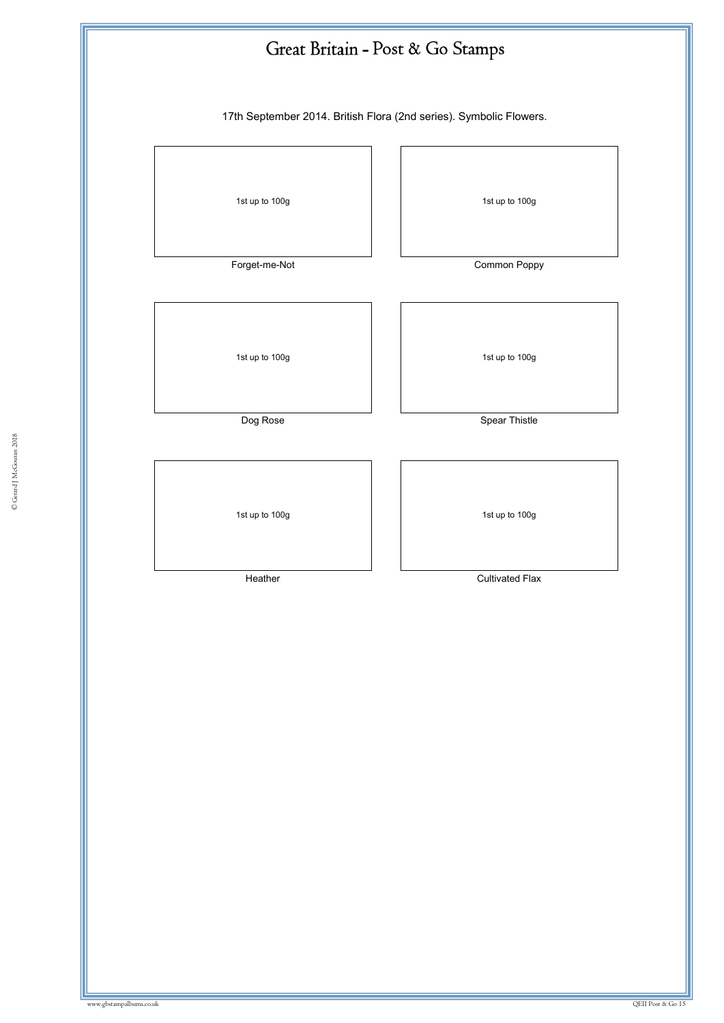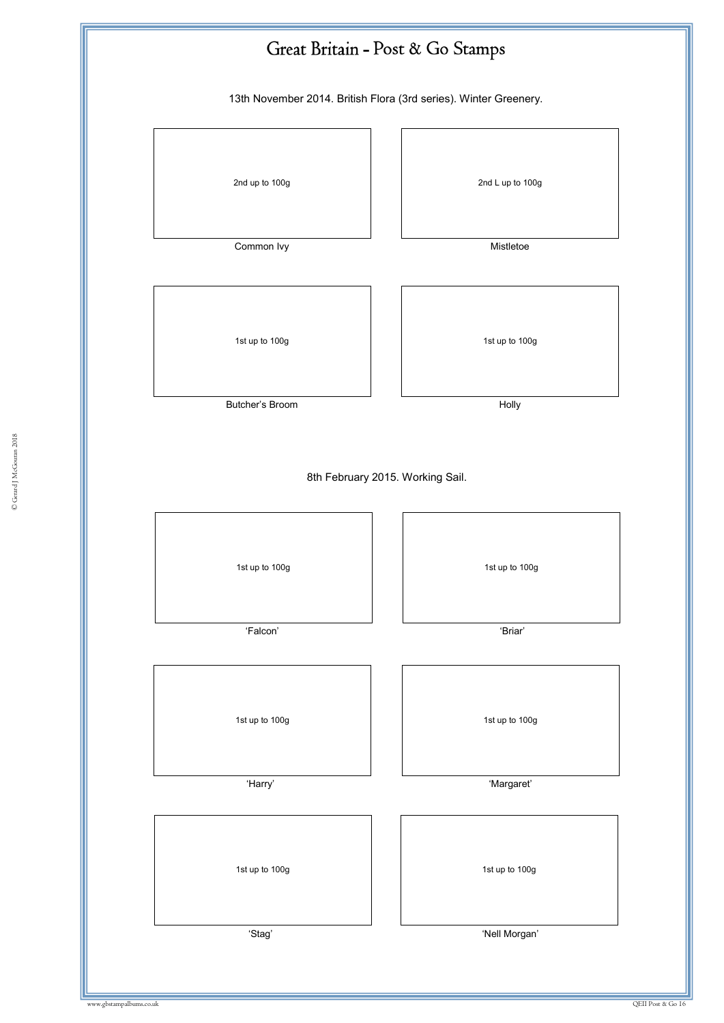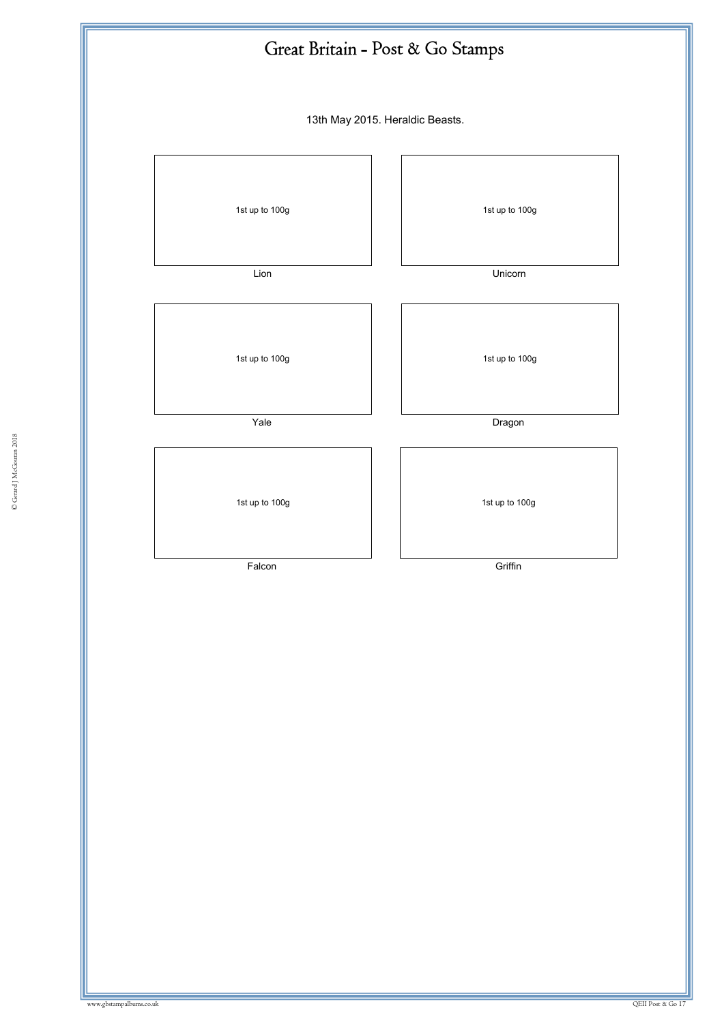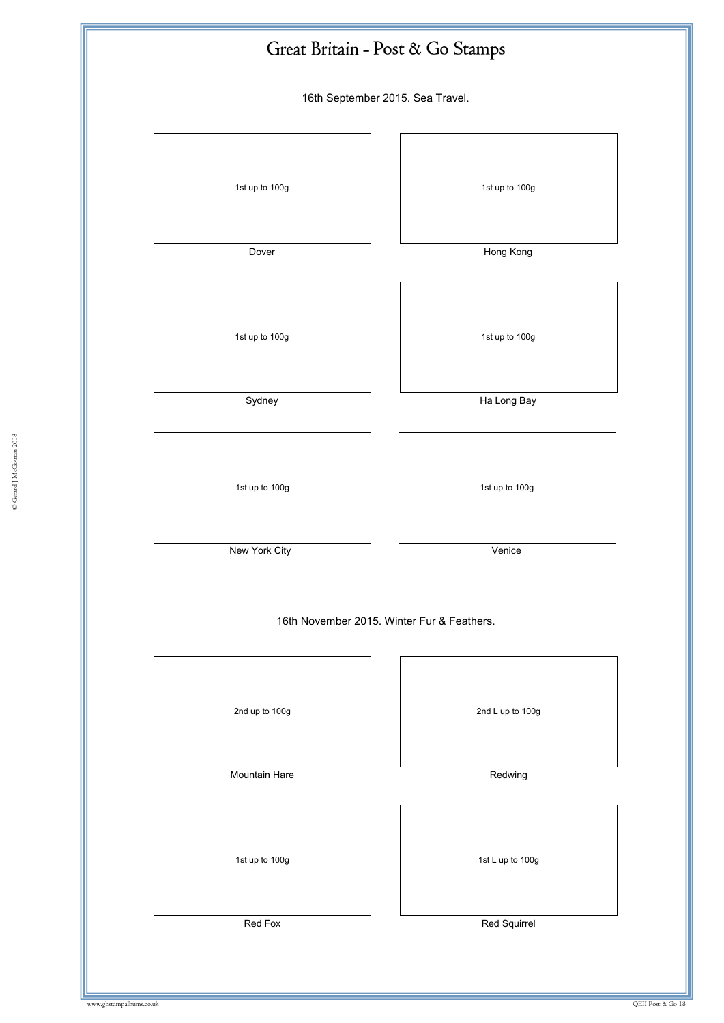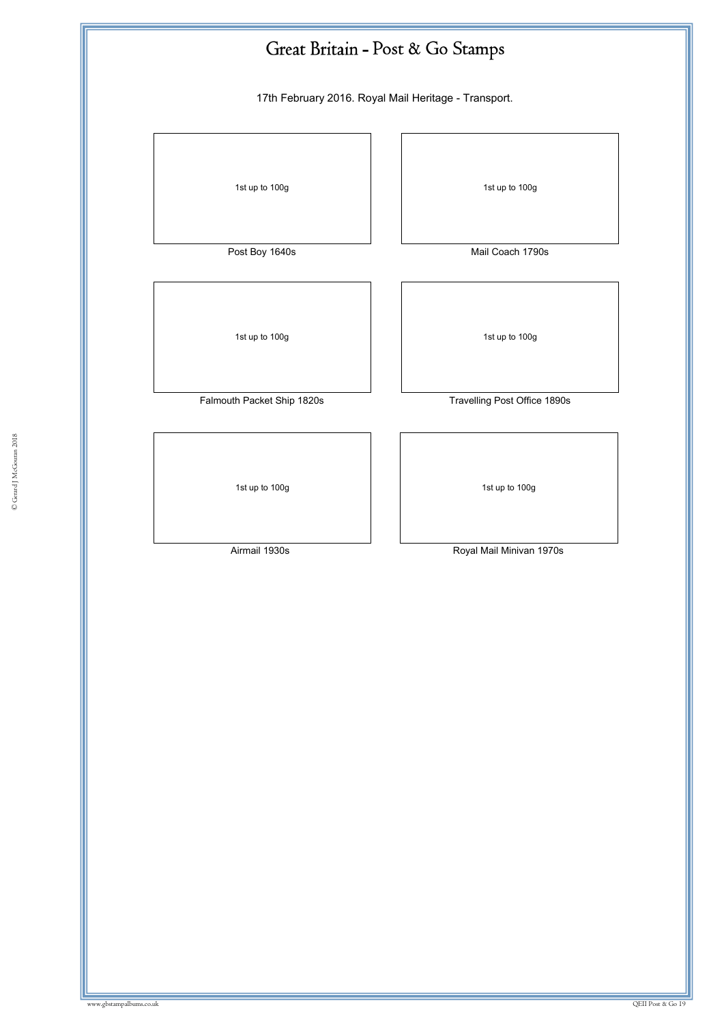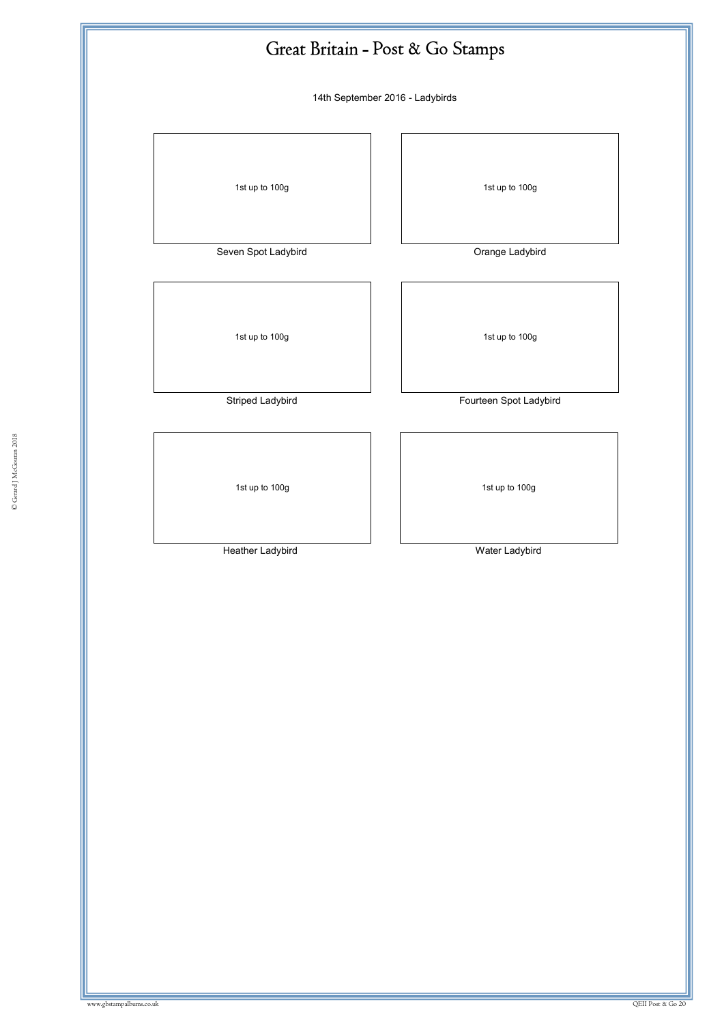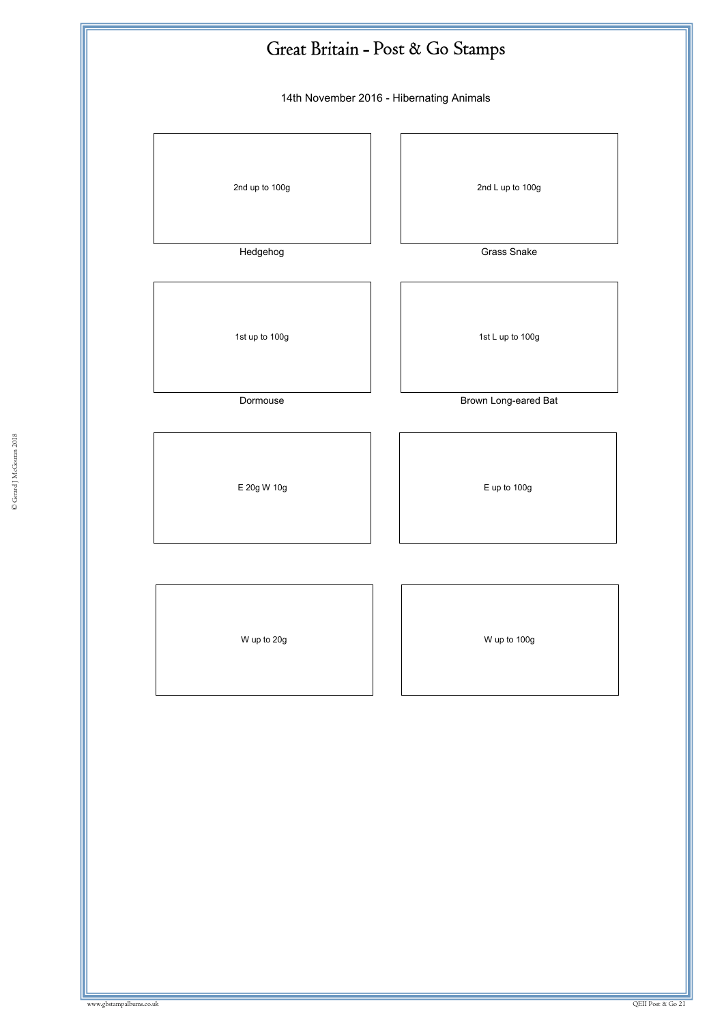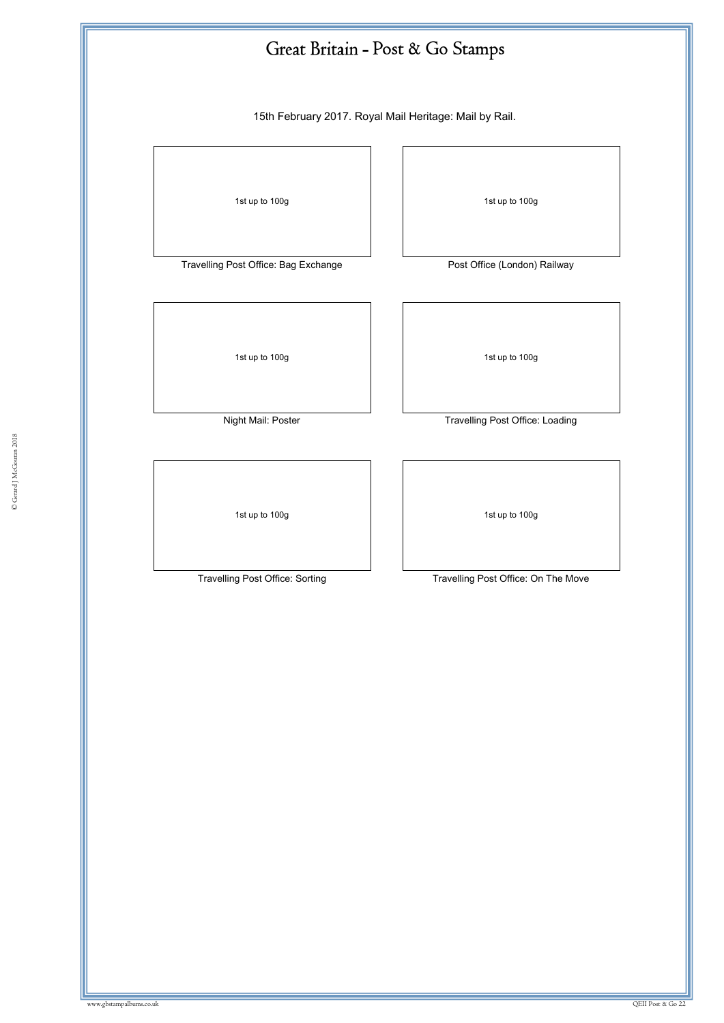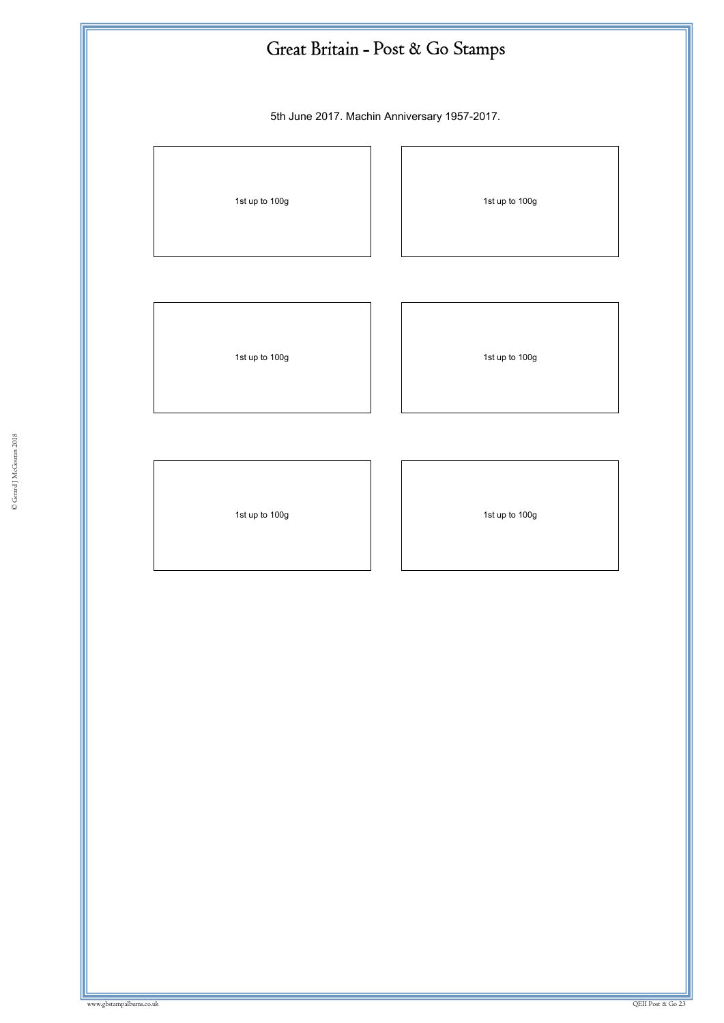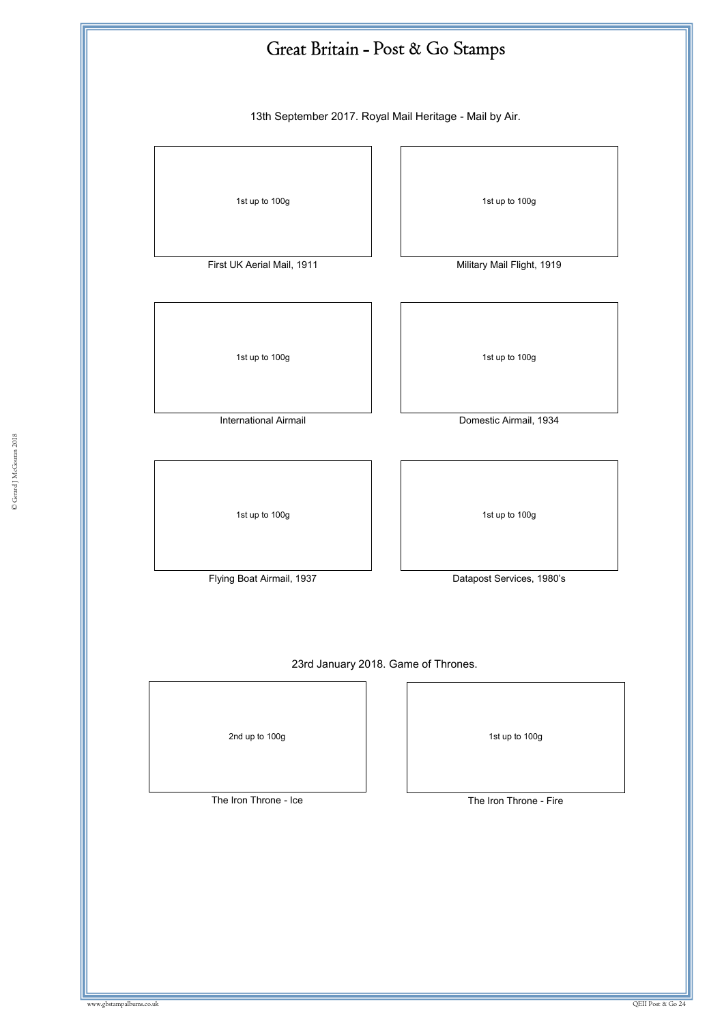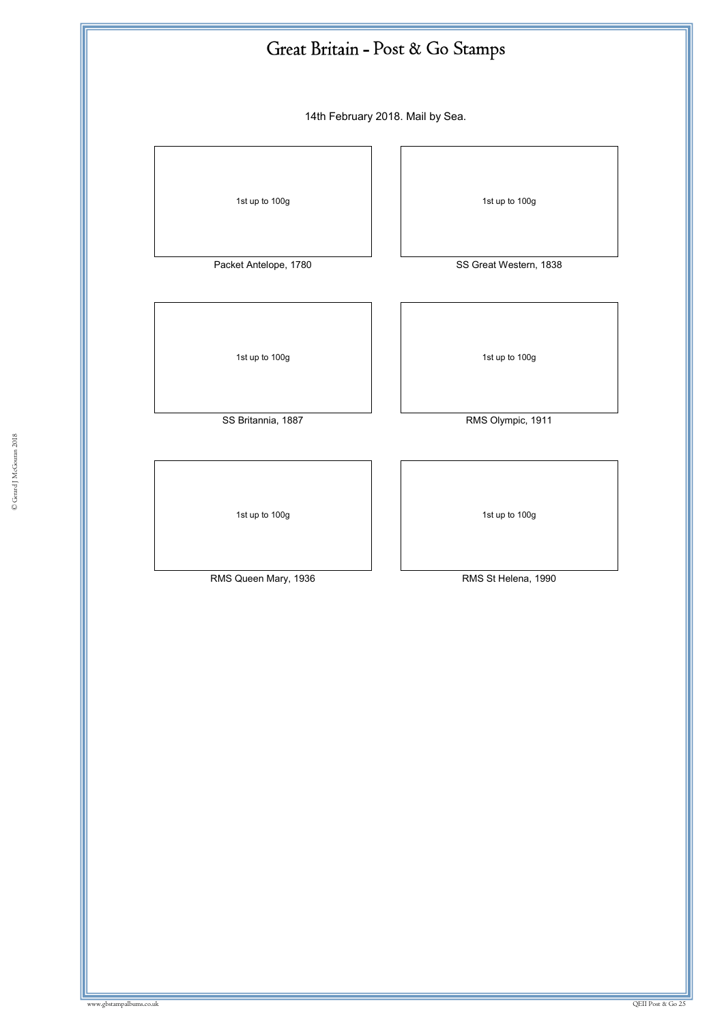